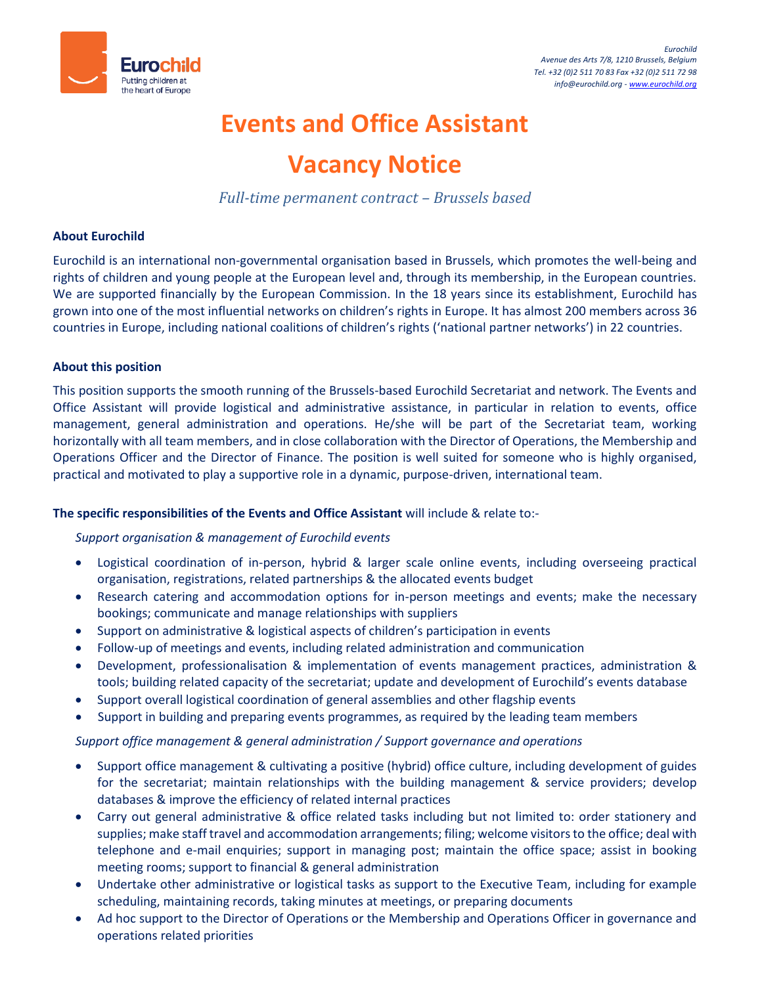

# **Events and Office Assistant**

# **Vacancy Notice**

*Full-time permanent contract – Brussels based*

## **About Eurochild**

Eurochild is an international non-governmental organisation based in Brussels, which promotes the well-being and rights of children and young people at the European level and, through its membership, in the European countries. We are supported financially by the European Commission. In the 18 years since its establishment, Eurochild has grown into one of the most influential networks on children's rights in Europe. It has almost 200 members across 36 countries in Europe, including national coalitions of children's rights ('national partner networks') in 22 countries.

## **About this position**

This position supports the smooth running of the Brussels-based Eurochild Secretariat and network. The Events and Office Assistant will provide logistical and administrative assistance, in particular in relation to events, office management, general administration and operations. He/she will be part of the Secretariat team, working horizontally with all team members, and in close collaboration with the Director of Operations, the Membership and Operations Officer and the Director of Finance. The position is well suited for someone who is highly organised, practical and motivated to play a supportive role in a dynamic, purpose-driven, international team.

## **The specific responsibilities of the Events and Office Assistant** will include & relate to:-

## *Support organisation & management of Eurochild events*

- Logistical coordination of in-person, hybrid & larger scale online events, including overseeing practical organisation, registrations, related partnerships & the allocated events budget
- Research catering and accommodation options for in-person meetings and events; make the necessary bookings; communicate and manage relationships with suppliers
- Support on administrative & logistical aspects of children's participation in events
- Follow-up of meetings and events, including related administration and communication
- Development, professionalisation & implementation of events management practices, administration & tools; building related capacity of the secretariat; update and development of Eurochild's events database
- Support overall logistical coordination of general assemblies and other flagship events
- Support in building and preparing events programmes, as required by the leading team members

*Support office management & general administration / Support governance and operations*

- Support office management & cultivating a positive (hybrid) office culture, including development of guides for the secretariat; maintain relationships with the building management & service providers; develop databases & improve the efficiency of related internal practices
- Carry out general administrative & office related tasks including but not limited to: order stationery and supplies; make staff travel and accommodation arrangements; filing; welcome visitors to the office; deal with telephone and e-mail enquiries; support in managing post; maintain the office space; assist in booking meeting rooms; support to financial & general administration
- Undertake other administrative or logistical tasks as support to the Executive Team, including for example scheduling, maintaining records, taking minutes at meetings, or preparing documents
- Ad hoc support to the Director of Operations or the Membership and Operations Officer in governance and operations related priorities